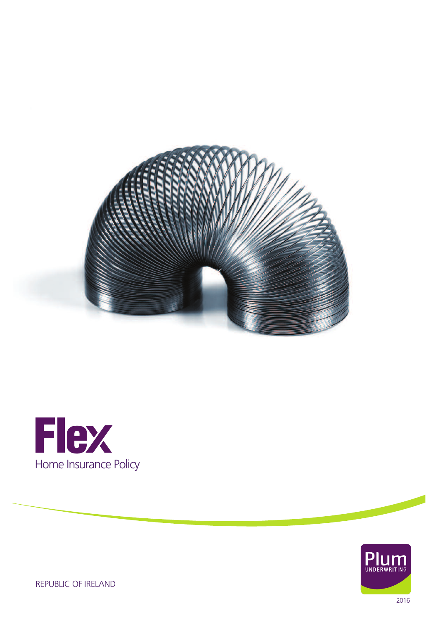





REPUBLIC OF IRELAND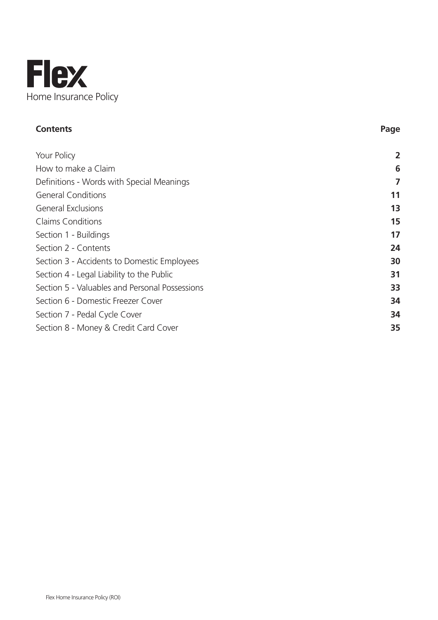

| <b>Contents</b>                                | Page           |
|------------------------------------------------|----------------|
| Your Policy                                    | $\overline{2}$ |
| How to make a Claim                            | 6              |
| Definitions - Words with Special Meanings      | 7              |
| <b>General Conditions</b>                      | 11             |
| <b>General Exclusions</b>                      | 13             |
| <b>Claims Conditions</b>                       | 15             |
| Section 1 - Buildings                          | 17             |
| Section 2 - Contents                           | 24             |
| Section 3 - Accidents to Domestic Employees    | 30             |
| Section 4 - Legal Liability to the Public      | 31             |
| Section 5 - Valuables and Personal Possessions | 33             |
| Section 6 - Domestic Freezer Cover             | 34             |
| Section 7 - Pedal Cycle Cover                  | 34             |
| Section 8 - Money & Credit Card Cover          | 35             |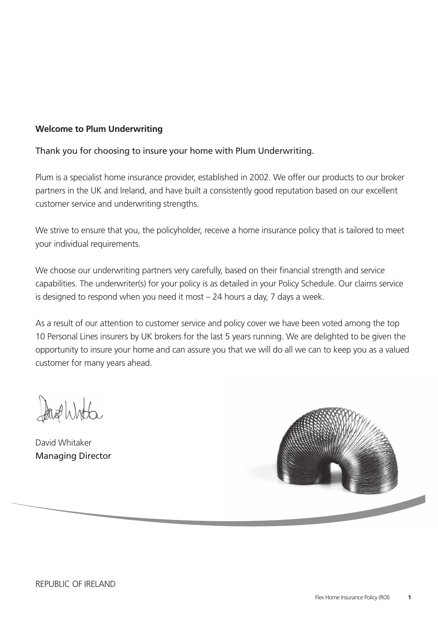## **Welcome to Plum Underwriting**

Thank you for choosing to insure your home with Plum Underwriting.

Plum is a specialist home insurance provider, established in 2002. We offer our products to our broker partners in the UK and Ireland, and have built a consistently good reputation based on our excellent customer service and underwriting strengths.

We strive to ensure that you, the policyholder, receive a home insurance policy that is tailored to meet your individual requirements.

We choose our underwriting partners very carefully, based on their financial strength and service capabilities. The underwriter(s) for your policy is as detailed in your Policy Schedule. Our claims service is designed to respond when you need it most – 24 hours a day, 7 days a week.

As a result of our attention to customer service and policy cover we have been voted among the top 10 Personal Lines insurers by UK brokers for the last 5 years running. We are delighted to be given the opportunity to insure your home and can assure you that we will do all we can to keep you as a valued customer for many years ahead.

that hinth

David Whitaker Managing Director

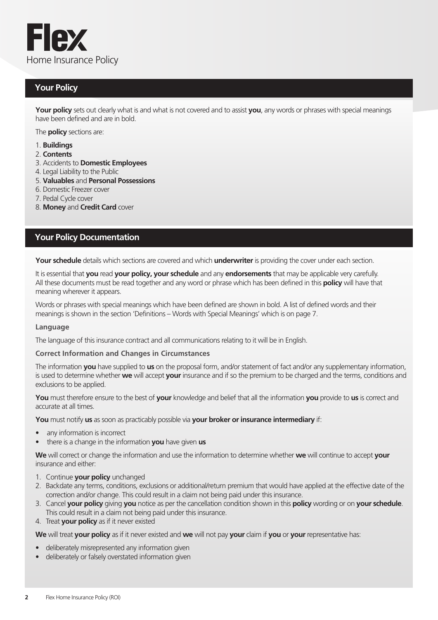

## **Your Policy**

**Your policy** sets out clearly what is and what is not covered and to assist **you**, any words or phrases with special meanings have been defined and are in bold.

The **policy** sections are:

- 1. **Buildings**
- 2. **Contents**
- 3. Accidents to **Domestic Employees**
- 4. Legal Liability to the Public
- 5. **Valuables** and **Personal Possessions**
- 6. Domestic Freezer cover
- 7. Pedal Cycle cover
- 8. **Money** and **Credit Card** cover

## **Your Policy Documentation**

**Your schedule** details which sections are covered and which **underwriter** is providing the cover under each section.

It is essential that **you** read **your policy, your schedule** and any **endorsements** that may be applicable very carefully. All these documents must be read together and any word or phrase which has been defined in this **policy** will have that meaning wherever it appears.

Words or phrases with special meanings which have been defined are shown in bold. A list of defined words and their meanings is shown in the section 'Definitions – Words with Special Meanings' which is on page 7.

## **Language**

The language of this insurance contract and all communications relating to it will be in English.

## **Correct Information and Changes in Circumstances**

The information **you** have supplied to **us** on the proposal form, and/or statement of fact and/or any supplementary information, is used to determine whether **we** will accept **your** insurance and if so the premium to be charged and the terms, conditions and exclusions to be applied.

**You** must therefore ensure to the best of **your** knowledge and belief that all the information **you** provide to **us** is correct and accurate at all times.

**You** must notify **us** as soon as practicably possible via **your broker or insurance intermediary** if:

- any information is incorrect
- there is a change in the information **you** have given **us**

**We** will correct or change the information and use the information to determine whether **we** will continue to accept **your** insurance and either:

- 1. Continue **your policy** unchanged
- 2. Backdate any terms, conditions, exclusions or additional/return premium that would have applied at the effective date of the correction and/or change. This could result in a claim not being paid under this insurance.
- 3. Cancel **your policy** giving **you** notice as per the cancellation condition shown in this **policy** wording or on **your schedule**. This could result in a claim not being paid under this insurance.
- 4. Treat **your policy** as if it never existed

**We** will treat **your policy** as if it never existed and **we** will not pay **your** claim if **you** or **your** representative has:

- deliberately misrepresented any information given
- deliberately or falsely overstated information given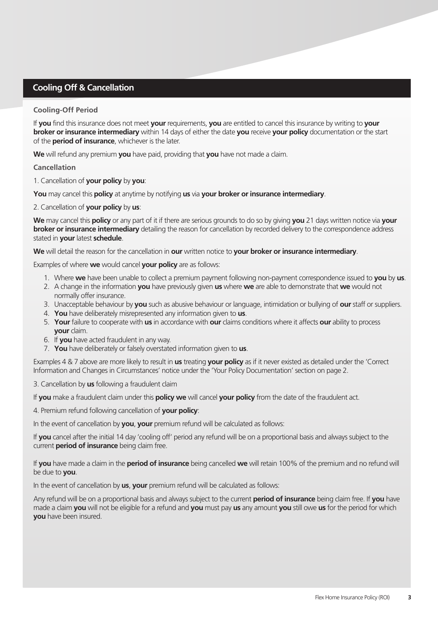## **Cooling Off & Cancellation**

## **Cooling-Off Period**

If **you** find this insurance does not meet **your** requirements, **you** are entitled to cancel this insurance by writing to **your broker or insurance intermediary** within 14 days of either the date **you** receive **your policy** documentation or the start of the **period of insurance**, whichever is the later.

**We** will refund any premium **you** have paid, providing that **you** have not made a claim.

**Cancellation**

1. Cancellation of **your policy** by **you**:

**You** may cancel this **policy** at anytime by notifying **us** via **your broker or insurance intermediary**.

2. Cancellation of **your policy** by **us**:

**We** may cancel this **policy** or any part of it if there are serious grounds to do so by giving **you** 21 days written notice via **your broker or insurance intermediary** detailing the reason for cancellation by recorded delivery to the correspondence address stated in **your** latest **schedule**.

**We** will detail the reason for the cancellation in **our** written notice to **your broker or insurance intermediary**.

Examples of where **we** would cancel **your policy** are as follows:

- 1. Where **we** have been unable to collect a premium payment following non-payment correspondence issued to **you** by **us**.
- 2. A change in the information **you** have previously given **us** where **we** are able to demonstrate that **we** would not normally offer insurance.
- 3. Unacceptable behaviour by **you** such as abusive behaviour or language, intimidation or bullying of **our** staff or suppliers.
- 4. **You** have deliberately misrepresented any information given to **us**.
- 5. **Your** failure to cooperate with **us** in accordance with **our** claims conditions where it affects **our** ability to process **your** claim.
- 6. If **you** have acted fraudulent in any way.
- 7. **You** have deliberately or falsely overstated information given to **us**.

Examples 4 & 7 above are more likely to result in **us** treating **your policy** as if it never existed as detailed under the 'Correct Information and Changes in Circumstances' notice under the 'Your Policy Documentation' section on page 2.

3. Cancellation by **us** following a fraudulent claim

If **you** make a fraudulent claim under this **policy we** will cancel **your policy** from the date of the fraudulent act.

4. Premium refund following cancellation of **your policy**:

In the event of cancellation by **you**, **your** premium refund will be calculated as follows:

If **you** cancel after the initial 14 day 'cooling off' period any refund will be on a proportional basis and always subject to the current **period of insurance** being claim free.

If **you** have made a claim in the **period of insurance** being cancelled **we** will retain 100% of the premium and no refund will be due to **you**.

In the event of cancellation by **us**, **your** premium refund will be calculated as follows:

Any refund will be on a proportional basis and always subject to the current **period of insurance** being claim free. If **you** have made a claim **you** will not be eligible for a refund and **you** must pay **us** any amount **you** still owe **us** for the period for which **you** have been insured.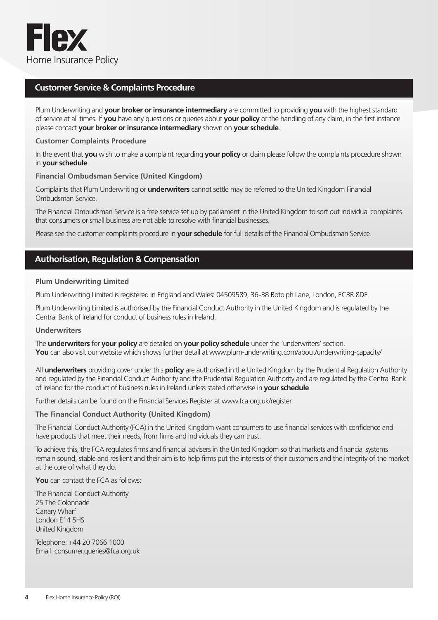

## **Customer Service & Complaints Procedure**

Plum Underwriting and **your broker or insurance intermediary** are committed to providing **you** with the highest standard of service at all times. If **you** have any questions or queries about **your policy** or the handling of any claim, in the first instance please contact **your broker or insurance intermediary** shown on **your schedule**.

**Customer Complaints Procedure**

In the event that **you** wish to make a complaint regarding **your policy** or claim please follow the complaints procedure shown in **your schedule**.

## **Financial Ombudsman Service (United Kingdom)**

Complaints that Plum Underwriting or **underwriters** cannot settle may be referred to the United Kingdom Financial Ombudsman Service.

The Financial Ombudsman Service is a free service set up by parliament in the United Kingdom to sort out individual complaints that consumers or small business are not able to resolve with financial businesses.

Please see the customer complaints procedure in **your schedule** for full details of the Financial Ombudsman Service.

## **Authorisation, Regulation & Compensation**

## **Plum Underwriting Limited**

Plum Underwriting Limited is registered in England and Wales: 04509589, 36-38 Botolph Lane, London, EC3R 8DE

Plum Underwriting Limited is authorised by the Financial Conduct Authority in the United Kingdom and is regulated by the Central Bank of Ireland for conduct of business rules in Ireland.

## **Underwriters**

The **underwriters** for **your policy** are detailed on **your policy schedule** under the 'underwriters' section. You can also visit our website which shows further detail at www.plum-underwriting.com/about/underwriting-capacity/

All **underwriters** providing cover under this **policy** are authorised in the United Kingdom by the Prudential Regulation Authority and regulated by the Financial Conduct Authority and the Prudential Regulation Authority and are regulated by the Central Bank of Ireland for the conduct of business rules in Ireland unless stated otherwise in **your schedule**.

Further details can be found on the Financial Services Register at www.fca.org.uk/register

## **The Financial Conduct Authority (United Kingdom)**

The Financial Conduct Authority (FCA) in the United Kingdom want consumers to use financial services with confidence and have products that meet their needs, from firms and individuals they can trust.

To achieve this, the FCA regulates firms and financial advisers in the United Kingdom so that markets and financial systems remain sound, stable and resilient and their aim is to help firms put the interests of their customers and the integrity of the market at the core of what they do.

**You** can contact the FCA as follows:

The Financial Conduct Authority 25 The Colonnade Canary Wharf London E14 5HS United Kingdom

Telephone: +44 20 7066 1000 Email: consumer.queries@fca.org.uk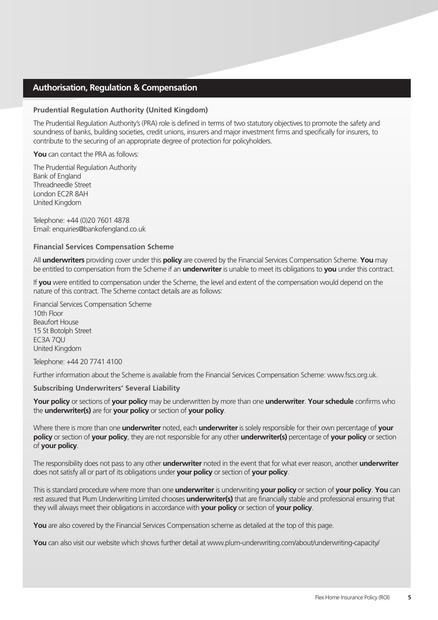## **Authorisation, Regulation & Compensation**

## **Prudential Regulation Authority (United Kingdom)**

The Prudential Regulation Authority's (PRA) role is defined in terms of two statutory objectives to promote the safety and soundness of banks, building societies, credit unions, insurers and major investment firms and specifically for insurers, to contribute to the securing of an appropriate degree of protection for policyholders.

You can contact the PRA as follows:

The Prudential Regulation Authority Bank of England Threadneedle Street London EC2R 8AH United Kingdom

Telephone: +44 (0)20 7601 4878 Email: enquiries@bankofengland.co.uk

#### **Financial Services Compensation Scheme**

All **underwriters** providing cover under this **policy** are covered by the Financial Services Compensation Scheme. **You** may be entitled to compensation from the Scheme if an **underwriter** is unable to meet its obligations to **you** under this contract.

If **you** were entitled to compensation under the Scheme, the level and extent of the compensation would depend on the nature of this contract. The Scheme contact details are as follows:

Financial Services Compensation Scheme 10th Floor Beaufort House 15 St Botolph Street EC3A 7QU United Kingdom

Telephone: +44 20 7741 4100

Further information about the Scheme is available from the Financial Services Compensation Scheme: www.fscs.org.uk.

## **Subscribing Underwriters' Several Liability**

**Your policy** or sections of **your policy** may be underwritten by more than one **underwriter**. **Your schedule** confirms who the **underwriter(s)** are for **your policy** or section of **your policy**.

Where there is more than one **underwriter** noted, each **underwriter** is solely responsible for their own percentage of **your policy** or section of **your policy**, they are not responsible for any other **underwriter(s)** percentage of **your policy** or section of **your policy**.

The responsibility does not pass to any other **underwriter** noted in the event that for what ever reason, another **underwriter** does not satisfy all or part of its obligations under **your policy** or section of **your policy**.

This is standard procedure where more than one **underwriter** is underwriting **your policy** or section of **your policy**. **You** can rest assured that Plum Underwriting Limited chooses **underwriter(s)** that are financially stable and professional ensuring that they will always meet their obligations in accordance with **your policy** or section of **your policy**.

You are also covered by the Financial Services Compensation scheme as detailed at the top of this page.

You can also visit our website which shows further detail at www.plum-underwriting.com/about/underwriting-capacity/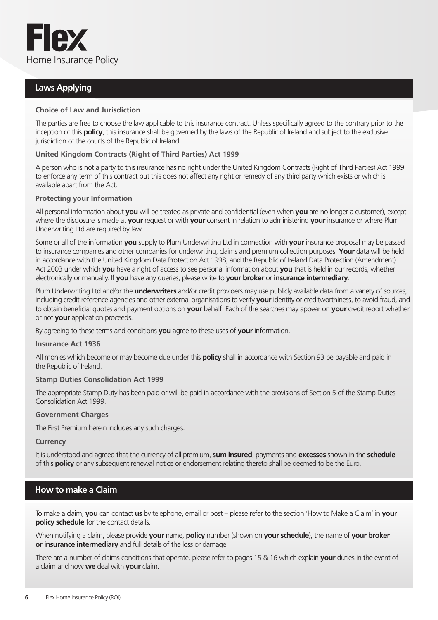

## **Laws Applying**

## **Choice of Law and Jurisdiction**

The parties are free to choose the law applicable to this insurance contract. Unless specifically agreed to the contrary prior to the inception of this **policy**, this insurance shall be governed by the laws of the Republic of Ireland and subject to the exclusive jurisdiction of the courts of the Republic of Ireland.

## **United Kingdom Contracts (Right of Third Parties) Act 1999**

A person who is not a party to this insurance has no right under the United Kingdom Contracts (Right of Third Parties) Act 1999 to enforce any term of this contract but this does not affect any right or remedy of any third party which exists or which is available apart from the Act.

## **Protecting your Information**

All personal information about **you** will be treated as private and confidential (even when **you** are no longer a customer), except where the disclosure is made at **your** request or with **your** consent in relation to administering **your** insurance or where Plum Underwriting Ltd are required by law.

Some or all of the information **you** supply to Plum Underwriting Ltd in connection with **your** insurance proposal may be passed to insurance companies and other companies for underwriting, claims and premium collection purposes. **Your** data will be held in accordance with the United Kingdom Data Protection Act 1998, and the Republic of Ireland Data Protection (Amendment) Act 2003 under which **you** have a right of access to see personal information about **you** that is held in our records, whether electronically or manually. If **you** have any queries, please write to **your broker** or **insurance intermediary**.

Plum Underwriting Ltd and/or the **underwriters** and/or credit providers may use publicly available data from a variety of sources, including credit reference agencies and other external organisations to verify **your** identity or creditworthiness, to avoid fraud, and to obtain beneficial quotes and payment options on **your** behalf. Each of the searches may appear on **your** credit report whether or not **your** application proceeds.

By agreeing to these terms and conditions **you** agree to these uses of **your** information.

## **Insurance Act 1936**

All monies which become or may become due under this **policy** shall in accordance with Section 93 be payable and paid in the Republic of Ireland.

## **Stamp Duties Consolidation Act 1999**

The appropriate Stamp Duty has been paid or will be paid in accordance with the provisions of Section 5 of the Stamp Duties Consolidation Act 1999.

## **Government Charges**

The First Premium herein includes any such charges.

## **Currency**

It is understood and agreed that the currency of all premium, **sum insured**, payments and **excesses** shown in the **schedule** of this **policy** or any subsequent renewal notice or endorsement relating thereto shall be deemed to be the Euro.

## **How to make a Claim**

To make a claim, **you** can contact **us** by telephone, email or post – please refer to the section 'How to Make a Claim' in **your policy schedule** for the contact details.

When notifying a claim, please provide **your** name, **policy** number (shown on **your schedule**), the name of **your broker or insurance intermediary** and full details of the loss or damage.

There are a number of claims conditions that operate, please refer to pages 15 & 16 which explain **your** duties in the event of a claim and how **we** deal with **your** claim.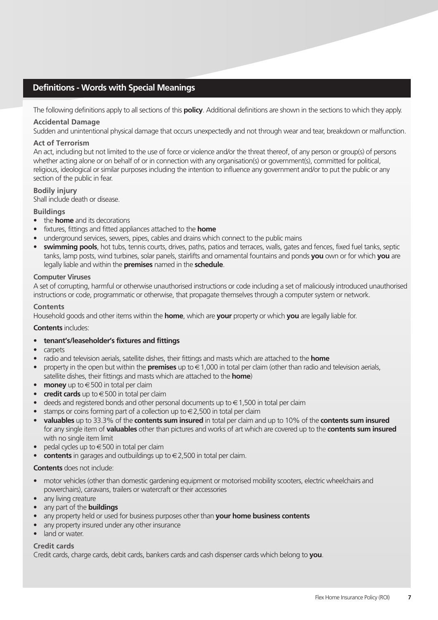The following definitions apply to all sections of this **policy**. Additional definitions are shown in the sections to which they apply.

## **Accidental Damage**

Sudden and unintentional physical damage that occurs unexpectedly and not through wear and tear, breakdown or malfunction.

## **Act of Terrorism**

An act, including but not limited to the use of force or violence and/or the threat thereof, of any person or group(s) of persons whether acting alone or on behalf of or in connection with any organisation(s) or government(s), committed for political, religious, ideological or similar purposes including the intention to influence any government and/or to put the public or any section of the public in fear.

## **Bodily injury**

Shall include death or disease.

## **Buildings**

- the **home** and its decorations
- fixtures, fittings and fitted appliances attached to the **home**
- **•** underground services, sewers, pipes, cables and drains which connect to the public mains
- **swimming pools**, hot tubs, tennis courts, drives, paths, patios and terraces, walls, gates and fences, fixed fuel tanks, septic tanks, lamp posts, wind turbines, solar panels, stairlifts and ornamental fountains and ponds **you** own or for which **you** are legally liable and within the **premises** named in the **schedule**.

## **Computer Viruses**

A set of corrupting, harmful or otherwise unauthorised instructions or code including a set of maliciously introduced unauthorised instructions or code, programmatic or otherwise, that propagate themselves through a computer system or network.

## **Contents**

Household goods and other items within the **home**, which are **your** property or which **you** are legally liable for.

## **Contents** includes:

## • **tenant's/leaseholder's fixtures and fittings**

- carpets
- radio and television aerials, satellite dishes, their fittings and masts which are attached to the **home**
- property in the open but within the **premises** up to €1,000 in total per claim (other than radio and television aerials, satellite dishes, their fittings and masts which are attached to the **home**)
- **money** up to €500 in total per claim
- **credit cards** up to €500 in total per claim
- deeds and registered bonds and other personal documents up to  $\in$  1,500 in total per claim
- stamps or coins forming part of a collection up to  $\in$  2,500 in total per claim
- **valuables** up to 33.3% of the **contents sum insured** in total per claim and up to 10% of the **contents sum insured** for any single item of **valuables** other than pictures and works of art which are covered up to the **contents sum insured** with no single item limit
- pedal cycles up to €500 in total per claim
- **contents** in garages and outbuildings up to €2,500 in total per claim.

## **Contents** does not include:

- motor vehicles (other than domestic gardening equipment or motorised mobility scooters, electric wheelchairs and powerchairs), caravans, trailers or watercraft or their accessories
- any living creature
- any part of the **buildings**
- any property held or used for business purposes other than **your home business contents**
- any property insured under any other insurance
- land or water.

## **Credit cards**

Credit cards, charge cards, debit cards, bankers cards and cash dispenser cards which belong to **you**.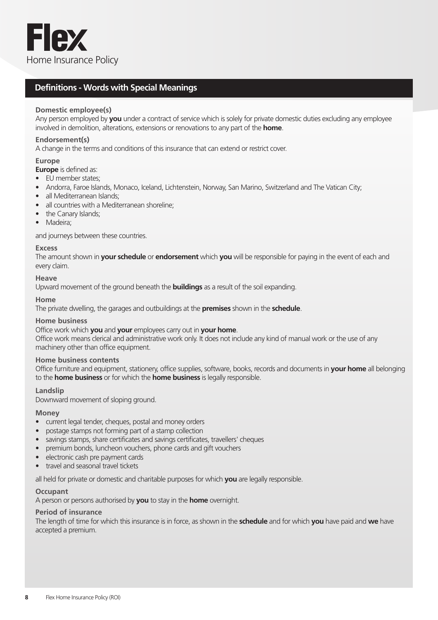

## **Domestic employee(s)**

Any person employed by **you** under a contract of service which is solely for private domestic duties excluding any employee involved in demolition, alterations, extensions or renovations to any part of the **home**.

## **Endorsement(s)**

A change in the terms and conditions of this insurance that can extend or restrict cover.

## **Europe**

**Europe** is defined as:

- EU member states;
- Andorra, Faroe Islands, Monaco, Iceland, Lichtenstein, Norway, San Marino, Switzerland and The Vatican City;
- all Mediterranean Islands;
- all countries with a Mediterranean shoreline;
- the Canary Islands;
- Madeira:

and journeys between these countries.

## **Excess**

The amount shown in **your schedule** or **endorsement** which **you** will be responsible for paying in the event of each and every claim.

## **Heave**

Upward movement of the ground beneath the **buildings** as a result of the soil expanding.

## **Home**

The private dwelling, the garages and outbuildings at the **premises** shown in the **schedule**.

## **Home business**

Office work which **you** and **your** employees carry out in **your home**.

Office work means clerical and administrative work only. It does not include any kind of manual work or the use of any machinery other than office equipment.

## **Home business contents**

Office furniture and equipment, stationery, office supplies, software, books, records and documents in **your home** all belonging to the **home business** or for which the **home business** is legally responsible.

## **Landslip**

Downward movement of sloping ground.

## **Money**

- current legal tender, cheques, postal and money orders
- postage stamps not forming part of a stamp collection
- savings stamps, share certificates and savings certificates, travellers' cheques
- premium bonds, luncheon vouchers, phone cards and gift vouchers
- electronic cash pre payment cards
- travel and seasonal travel tickets

all held for private or domestic and charitable purposes for which **you** are legally responsible.

## **Occupant**

A person or persons authorised by **you** to stay in the **home** overnight.

## **Period of insurance**

The length of time for which this insurance is in force, as shown in the **schedule** and for which **you** have paid and **we** have accepted a premium.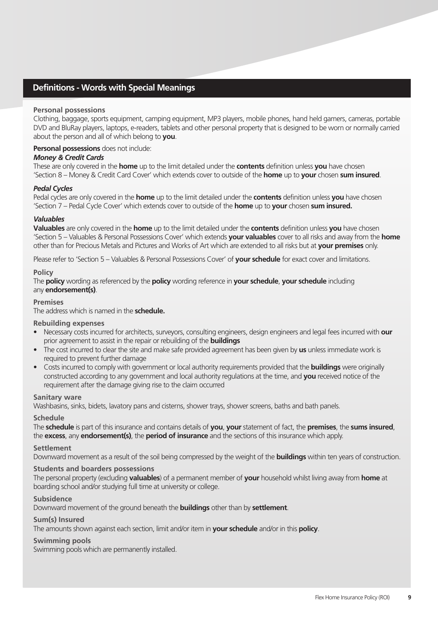## **Personal possessions**

Clothing, baggage, sports equipment, camping equipment, MP3 players, mobile phones, hand held gamers, cameras, portable DVD and BluRay players, laptops, e-readers, tablets and other personal property that is designed to be worn or normally carried about the person and all of which belong to **you**.

## **Personal possessions** does not include:

## *Money & Credit Cards*

These are only covered in the **home** up to the limit detailed under the **contents** definition unless **you** have chosen 'Section 8 – Money & Credit Card Cover' which extends cover to outside of the **home** up to **your** chosen **sum insured**.

## *Pedal Cycles*

Pedal cycles are only covered in the **home** up to the limit detailed under the **contents** definition unless **you** have chosen 'Section 7 – Pedal Cycle Cover' which extends cover to outside of the **home** up to **your** chosen **sum insured.**

## *Valuables*

**Valuables** are only covered in the **home** up to the limit detailed under the **contents** definition unless **you** have chosen 'Section 5 – Valuables & Personal Possessions Cover' which extends **your valuables** cover to all risks and away from the **home** other than for Precious Metals and Pictures and Works of Art which are extended to all risks but at **your premises** only.

Please refer to 'Section 5 – Valuables & Personal Possessions Cover' of **your schedule** for exact cover and limitations.

## **Policy**

The **policy** wording as referenced by the **policy** wording reference in **your schedule**, **your schedule** including any **endorsement(s)**.

## **Premises**

The address which is named in the **schedule.**

## **Rebuilding expenses**

- Necessary costs incurred for architects, surveyors, consulting engineers, design engineers and legal fees incurred with **our** prior agreement to assist in the repair or rebuilding of the **buildings**
- The cost incurred to clear the site and make safe provided agreement has been given by **us** unless immediate work is required to prevent further damage
- Costs incurred to comply with government or local authority requirements provided that the **buildings** were originally constructed according to any government and local authority regulations at the time, and **you** received notice of the requirement after the damage giving rise to the claim occurred

## **Sanitary ware**

Washbasins, sinks, bidets, lavatory pans and cisterns, shower trays, shower screens, baths and bath panels.

## **Schedule**

The **schedule** is part of this insurance and contains details of **you**, **your** statement of fact, the **premises**, the **sums insured**, the **excess**, any **endorsement(s)**, the **period of insurance** and the sections of this insurance which apply.

#### **Settlement**

Downward movement as a result of the soil being compressed by the weight of the **buildings** within ten years of construction.

## **Students and boarders possessions**

The personal property (excluding **valuables**) of a permanent member of **your** household whilst living away from **home** at boarding school and/or studying full time at university or college.

## **Subsidence**

Downward movement of the ground beneath the **buildings** other than by **settlement**.

## **Sum(s) Insured**

The amounts shown against each section, limit and/or item in **your schedule** and/or in this **policy**.

## **Swimming pools**

Swimming pools which are permanently installed.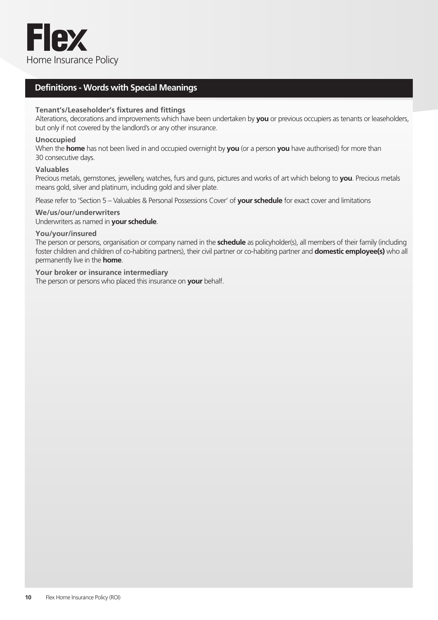

## **Tenant's/Leaseholder's fixtures and fittings**

Alterations, decorations and improvements which have been undertaken by **you** or previous occupiers as tenants or leaseholders, but only if not covered by the landlord's or any other insurance.

## **Unoccupied**

When the **home** has not been lived in and occupied overnight by **you** (or a person **you** have authorised) for more than 30 consecutive days.

## **Valuables**

Precious metals, gemstones, jewellery, watches, furs and guns, pictures and works of art which belong to **you**. Precious metals means gold, silver and platinum, including gold and silver plate.

Please refer to 'Section 5 – Valuables & Personal Possessions Cover' of **your schedule** for exact cover and limitations

## **We/us/our/underwriters**

Underwriters as named in **your schedule**.

## **You/your/insured**

The person or persons, organisation or company named in the **schedule** as policyholder(s), all members of their family (including foster children and children of co-habiting partners), their civil partner or co-habiting partner and **domestic employee(s)** who all permanently live in the **home**.

## **Your broker or insurance intermediary**

The person or persons who placed this insurance on **your** behalf.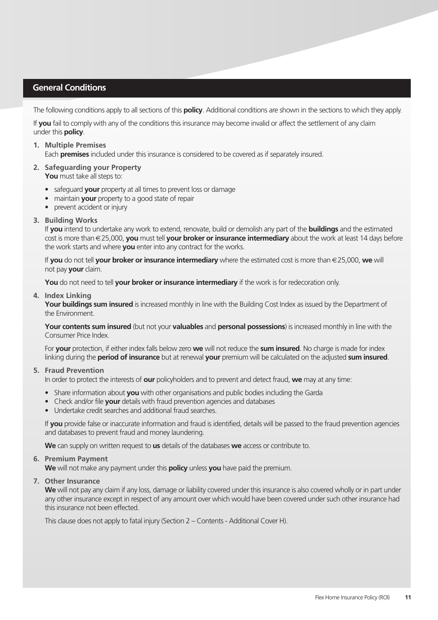## **General Conditions**

The following conditions apply to all sections of this **policy**. Additional conditions are shown in the sections to which they apply.

If **you** fail to comply with any of the conditions this insurance may become invalid or affect the settlement of any claim under this **policy**.

**1. Multiple Premises**

Each **premises** included under this insurance is considered to be covered as if separately insured.

- **2. Safeguarding your Property You** must take all steps to:
	- safeguard **your** property at all times to prevent loss or damage
	- maintain **your** property to a good state of repair
	- prevent accident or injury
- **3. Building Works**

If **you** intend to undertake any work to extend, renovate, build or demolish any part of the **buildings** and the estimated cost is more than €25,000, **you** must tell **your broker or insurance intermediary** about the work at least 14 days before the work starts and where **you** enter into any contract for the works.

If **you** do not tell **your broker or insurance intermediary** where the estimated cost is more than €25,000, **we** will not pay **your** claim.

**You** do not need to tell **your broker or insurance intermediary** if the work is for redecoration only.

**4. Index Linking**

**Your buildings sum insured** is increased monthly in line with the Building Cost Index as issued by the Department of the Environment.

**Your contents sum insured** (but not your **valuables** and **personal possessions**) is increased monthly in line with the Consumer Price Index.

For **your** protection, if either index falls below zero **we** will not reduce the **sum insured**. No charge is made for index linking during the **period of insurance** but at renewal **your** premium will be calculated on the adjusted **sum insured**.

## **5. Fraud Prevention**

In order to protect the interests of **our** policyholders and to prevent and detect fraud, **we** may at any time:

- Share information about **you** with other organisations and public bodies including the Garda
- Check and/or file **your** details with fraud prevention agencies and databases
- Undertake credit searches and additional fraud searches.

If **you** provide false or inaccurate information and fraud is identified, details will be passed to the fraud prevention agencies and databases to prevent fraud and money laundering.

**We** can supply on written request to **us** details of the databases **we** access or contribute to.

## **6. Premium Payment**

**We** will not make any payment under this **policy** unless **you** have paid the premium.

**7. Other Insurance**

**We** will not pay any claim if any loss, damage or liability covered under this insurance is also covered wholly or in part under any other insurance except in respect of any amount over which would have been covered under such other insurance had this insurance not been effected.

This clause does not apply to fatal injury (Section 2 – Contents - Additional Cover H).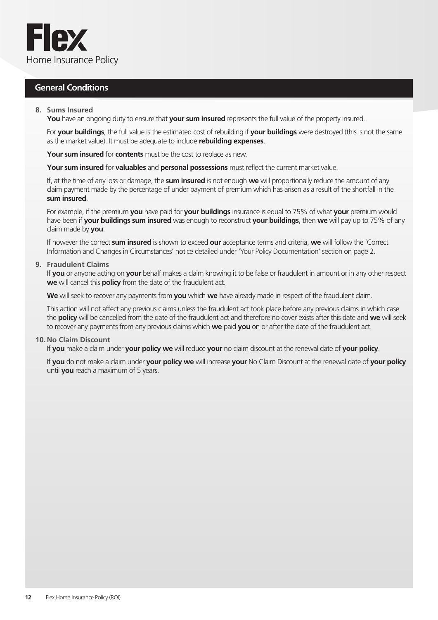

## **General Conditions**

## **8. Sums Insured**

**You** have an ongoing duty to ensure that **your sum insured** represents the full value of the property insured.

For **your buildings**, the full value is the estimated cost of rebuilding if **your buildings** were destroyed (this is not the same as the market value). It must be adequate to include **rebuilding expenses**.

**Your sum insured** for **contents** must be the cost to replace as new.

**Your sum insured** for **valuables** and **personal possessions** must reflect the current market value.

If, at the time of any loss or damage, the **sum insured** is not enough **we** will proportionally reduce the amount of any claim payment made by the percentage of under payment of premium which has arisen as a result of the shortfall in the **sum insured**.

For example, if the premium **you** have paid for **your buildings** insurance is equal to 75% of what **your** premium would have been if **your buildings sum insured** was enough to reconstruct **your buildings**, then **we** will pay up to 75% of any claim made by **you**.

If however the correct **sum insured** is shown to exceed **our** acceptance terms and criteria, **we** will follow the 'Correct Information and Changes in Circumstances' notice detailed under 'Your Policy Documentation' section on page 2.

## **9. Fraudulent Claims**

If **you** or anyone acting on **your** behalf makes a claim knowing it to be false or fraudulent in amount or in any other respect **we** will cancel this **policy** from the date of the fraudulent act.

**We** will seek to recover any payments from **you** which **we** have already made in respect of the fraudulent claim.

This action will not affect any previous claims unless the fraudulent act took place before any previous claims in which case the **policy** will be cancelled from the date of the fraudulent act and therefore no cover exists after this date and **we** will seek to recover any payments from any previous claims which **we** paid **you** on or after the date of the fraudulent act.

## **10. No Claim Discount**

If **you** make a claim under **your policy we** will reduce **your** no claim discount at the renewal date of **your policy**.

If **you** do not make a claim under **your policy we** will increase **your** No Claim Discount at the renewal date of **your policy** until **you** reach a maximum of 5 years.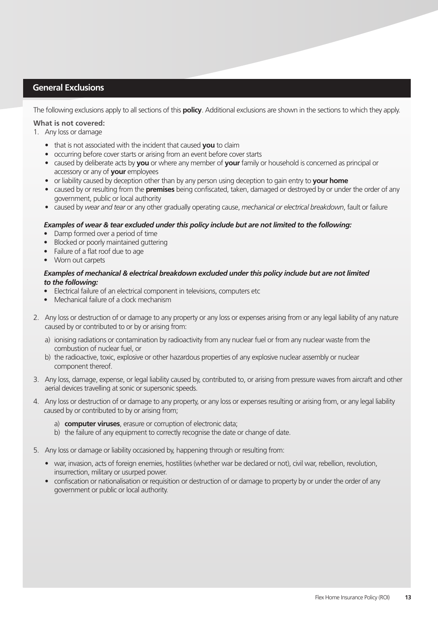## **General Exclusions**

The following exclusions apply to all sections of this **policy**. Additional exclusions are shown in the sections to which they apply.

## **What is not covered:**

- 1. Any loss or damage
	- that is not associated with the incident that caused **you** to claim
	- occurring before cover starts or arising from an event before cover starts
	- caused by deliberate acts by **you** or where any member of **your** family or household is concerned as principal or accessory or any of **your** employees
	- or liability caused by deception other than by any person using deception to gain entry to **your home**
	- caused by or resulting from the **premises** being confiscated, taken, damaged or destroyed by or under the order of any government, public or local authority
	- caused by *wear and tear* or any other gradually operating cause, *mechanical or electrical breakdown*, fault or failure

## *Examples of wear & tear excluded under this policy include but are not limited to the following:*

- Damp formed over a period of time
- Blocked or poorly maintained guttering
- Failure of a flat roof due to age
- Worn out carpets

## *Examples of mechanical & electrical breakdown excluded under this policy include but are not limited to the following:*

- Electrical failure of an electrical component in televisions, computers etc
- Mechanical failure of a clock mechanism
- 2. Any loss or destruction of or damage to any property or any loss or expenses arising from or any legal liability of any nature caused by or contributed to or by or arising from:
	- a) ionising radiations or contamination by radioactivity from any nuclear fuel or from any nuclear waste from the combustion of nuclear fuel, or
	- b) the radioactive, toxic, explosive or other hazardous properties of any explosive nuclear assembly or nuclear component thereof.
- 3. Any loss, damage, expense, or legal liability caused by, contributed to, or arising from pressure waves from aircraft and other aerial devices travelling at sonic or supersonic speeds.
- 4. Any loss or destruction of or damage to any property, or any loss or expenses resulting or arising from, or any legal liability caused by or contributed to by or arising from;
	- a) **computer viruses**, erasure or corruption of electronic data;
	- b) the failure of any equipment to correctly recognise the date or change of date.
- 5. Any loss or damage or liability occasioned by, happening through or resulting from:
	- war, invasion, acts of foreign enemies, hostilities (whether war be declared or not), civil war, rebellion, revolution, insurrection, military or usurped power.
	- confiscation or nationalisation or requisition or destruction of or damage to property by or under the order of any government or public or local authority.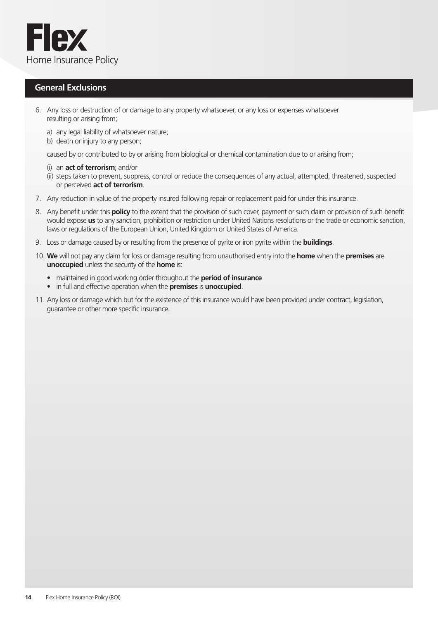

## **General Exclusions**

- 6. Any loss or destruction of or damage to any property whatsoever, or any loss or expenses whatsoever resulting or arising from;
	- a) any legal liability of whatsoever nature;
	- b) death or injury to any person;

caused by or contributed to by or arising from biological or chemical contamination due to or arising from;

- (i) an **act of terrorism**; and/or
- (ii) steps taken to prevent, suppress, control or reduce the consequences of any actual, attempted, threatened, suspected or perceived **act of terrorism**.
- 7. Any reduction in value of the property insured following repair or replacement paid for under this insurance.
- 8. Any benefit under this **policy** to the extent that the provision of such cover, payment or such claim or provision of such benefit would expose **us** to any sanction, prohibition or restriction under United Nations resolutions or the trade or economic sanction, laws or regulations of the European Union, United Kingdom or United States of America.
- 9. Loss or damage caused by or resulting from the presence of pyrite or iron pyrite within the **buildings**.
- 10. **We** will not pay any claim for loss or damage resulting from unauthorised entry into the **home** when the **premises** are **unoccupied** unless the security of the **home** is:
	- maintained in good working order throughout the **period of insurance**
	- in full and effective operation when the **premises** is **unoccupied**.
- 11. Any loss or damage which but for the existence of this insurance would have been provided under contract, legislation, guarantee or other more specific insurance.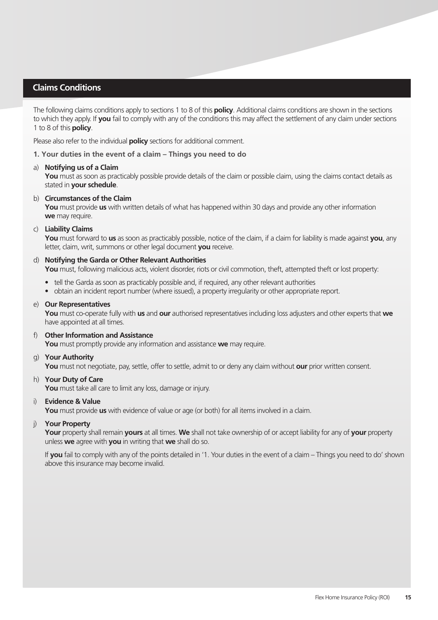## **Claims Conditions**

The following claims conditions apply to sections 1 to 8 of this **policy**. Additional claims conditions are shown in the sections to which they apply. If **you** fail to comply with any of the conditions this may affect the settlement of any claim under sections 1 to 8 of this **policy**.

Please also refer to the individual **policy** sections for additional comment.

**1. Your duties in the event of a claim – Things you need to do**

## a) **Notifying us of a Claim**

You must as soon as practicably possible provide details of the claim or possible claim, using the claims contact details as stated in **your schedule**.

## b) **Circumstances of the Claim**

**You** must provide **us** with written details of what has happened within 30 days and provide any other information **we** may require.

## c) **Liability Claims**

**You** must forward to **us** as soon as practicably possible, notice of the claim, if a claim for liability is made against **you**, any letter, claim, writ, summons or other legal document **you** receive.

## d) **Notifying the Garda or Other Relevant Authorities**

You must, following malicious acts, violent disorder, riots or civil commotion, theft, attempted theft or lost property:

- tell the Garda as soon as practicably possible and, if required, any other relevant authorities
- obtain an incident report number (where issued), a property irregularity or other appropriate report.

## e) **Our Representatives**

**You** must co-operate fully with **us** and **our** authorised representatives including loss adjusters and other experts that **we** have appointed at all times.

## f) **Other Information and Assistance**

**You** must promptly provide any information and assistance **we** may require.

## g) **Your Authority**

**You** must not negotiate, pay, settle, offer to settle, admit to or deny any claim without **our** prior written consent.

## h) **Your Duty of Care**

**You** must take all care to limit any loss, damage or injury.

## i) **Evidence & Value**

**You** must provide **us** with evidence of value or age (or both) for all items involved in a claim.

## j) **Your Property**

**Your** property shall remain **yours** at all times. **We** shall not take ownership of or accept liability for any of **your** property unless **we** agree with **you** in writing that **we** shall do so.

If **you** fail to comply with any of the points detailed in '1. Your duties in the event of a claim – Things you need to do' shown above this insurance may become invalid.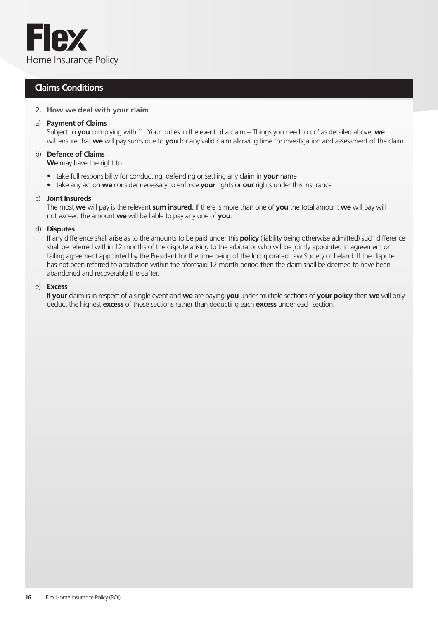

## **Claims Conditions**

## **2. How we deal with your claim**

## a) **Payment of Claims**

Subject to **you** complying with '1. Your duties in the event of a claim – Things you need to do' as detailed above, **we** will ensure that **we** will pay sums due to **you** for any valid claim allowing time for investigation and assessment of the claim.

## b) **Defence of Claims**

**We** may have the right to:

- take full responsibility for conducting, defending or settling any claim in **your** name
- take any action **we** consider necessary to enforce **your** rights or **our** rights under this insurance

## c) **Joint Insureds**

The most **we** will pay is the relevant **sum insured**. If there is more than one of **you** the total amount **we** will pay will not exceed the amount **we** will be liable to pay any one of **you**.

#### d) **Disputes**

If any difference shall arise as to the amounts to be paid under this **policy** (liability being otherwise admitted) such difference shall be referred within 12 months of the dispute arising to the arbitrator who will be jointly appointed in agreement or failing agreement appointed by the President for the time being of the Incorporated Law Society of Ireland. If the dispute has not been referred to arbitration within the aforesaid 12 month period then the claim shall be deemed to have been abandoned and recoverable thereafter.

#### e) **Excess**

If **your** claim is in respect of a single event and **we** are paying **you** under multiple sections of **your policy** then **we** will only deduct the highest **excess** of those sections rather than deducting each **excess** under each section.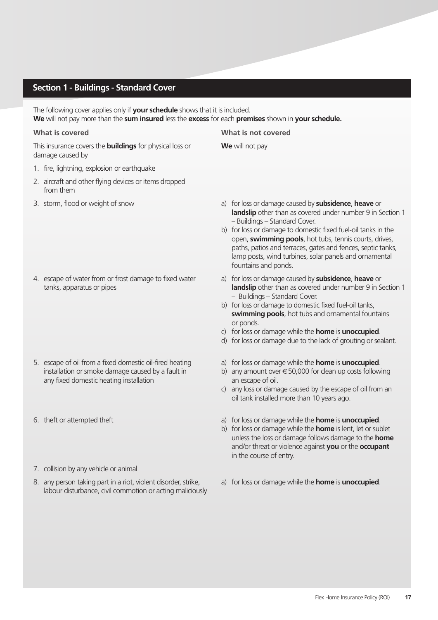## **Section 1 - Buildings - Standard Cover**

The following cover applies only if **your schedule** shows that it is included. **We** will not pay more than the **sum insured** less the **excess** for each **premises** shown in **your schedule.**

**What is not covered**

**We** will not pay

#### **What is covered**

This insurance covers the **buildings** for physical loss or damage caused by

- 1. fire, lightning, explosion or earthquake
- 2. aircraft and other flying devices or items dropped from them
- 3. storm, flood or weight of snow

4. escape of water from or frost damage to fixed water tanks, apparatus or pipes

- 5. escape of oil from a fixed domestic oil-fired heating installation or smoke damage caused by a fault in any fixed domestic heating installation
- 6. theft or attempted theft
- 7. collision by any vehicle or animal
- 8. any person taking part in a riot, violent disorder, strike, labour disturbance, civil commotion or acting maliciously
- a) for loss or damage caused by **subsidence**, **heave** or **landslip** other than as covered under number 9 in Section 1 – Buildings – Standard Cover.
- b) for loss or damage to domestic fixed fuel-oil tanks in the open, **swimming pools**, hot tubs, tennis courts, drives, paths, patios and terraces, gates and fences, septic tanks, lamp posts, wind turbines, solar panels and ornamental fountains and ponds.
- a) for loss or damage caused by **subsidence**, **heave** or **landslip** other than as covered under number 9 in Section 1 – Buildings – Standard Cover.
- b) for loss or damage to domestic fixed fuel-oil tanks, **swimming pools**, hot tubs and ornamental fountains or ponds.
- c) for loss or damage while the **home** is **unoccupied**.
- d) for loss or damage due to the lack of grouting or sealant.
- a) for loss or damage while the **home** is **unoccupied**.
- b) any amount over  $\in$  50,000 for clean up costs following an escape of oil.
- c) any loss or damage caused by the escape of oil from an oil tank installed more than 10 years ago.
- a) for loss or damage while the **home** is **unoccupied**.
- b) for loss or damage while the **home** is lent, let or sublet unless the loss or damage follows damage to the **home** and/or threat or violence against **you** or the **occupant** in the course of entry.
- a) for loss or damage while the **home** is **unoccupied**.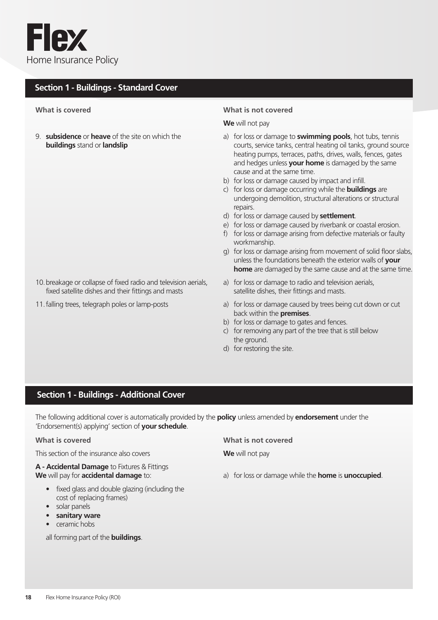

## **Section 1 - Buildings - Standard Cover**

## **What is covered**

9. **subsidence** or **heave** of the site on which the **buildings** stand or **landslip**

#### **What is not covered**

#### **We** will not pay

- a) for loss or damage to **swimming pools**, hot tubs, tennis courts, service tanks, central heating oil tanks, ground source heating pumps, terraces, paths, drives, walls, fences, gates and hedges unless **your home** is damaged by the same cause and at the same time.
- b) for loss or damage caused by impact and infill.
- c) for loss or damage occurring while the **buildings** are undergoing demolition, structural alterations or structural repairs.
- d) for loss or damage caused by **settlement**.
- e) for loss or damage caused by riverbank or coastal erosion.
- f) for loss or damage arising from defective materials or faulty workmanship.
- g) for loss or damage arising from movement of solid floor slabs, unless the foundations beneath the exterior walls of **your home** are damaged by the same cause and at the same time.
- a) for loss or damage to radio and television aerials, satellite dishes, their fittings and masts.
- a) for loss or damage caused by trees being cut down or cut back within the **premises**.
- b) for loss or damage to gates and fences.
- c) for removing any part of the tree that is still below the ground.
- d) for restoring the site.

## **Section 1 - Buildings - Additional Cover**

10.breakage or collapse of fixed radio and television aerials, fixed satellite dishes and their fittings and masts

11.falling trees, telegraph poles or lamp-posts

The following additional cover is automatically provided by the **policy** unless amended by **endorsement** under the 'Endorsement(s) applying' section of **your schedule**.

## **What is covered**

This section of the insurance also covers

**A - Accidental Damage** to Fixtures & Fittings **We** will pay for **accidental damage** to:

- fixed glass and double glazing (including the cost of replacing frames)
- solar panels
- **sanitary ware**
- ceramic hobs

all forming part of the **buildings**.

**What is not covered**

**We** will not pay

a) for loss or damage while the **home** is **unoccupied**.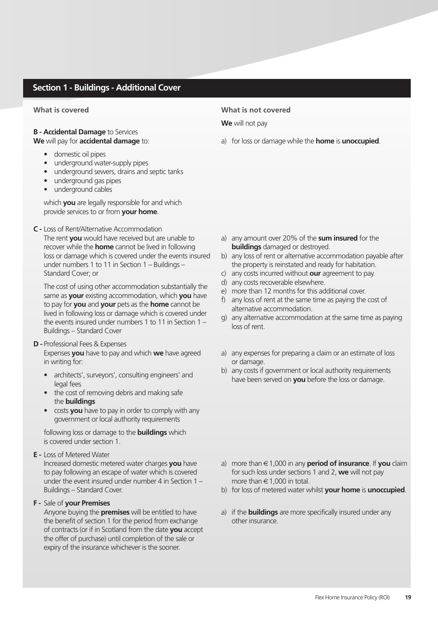## **Section 1 - Buildings - Additional Cover**

**What is covered**

## **B - Accidental Damage** to Services **We** will pay for **accidental damage** to:

- domestic oil pipes
- underground water-supply pipes
- underground sewers, drains and septic tanks
- underground gas pipes
- underground cables

which **you** are legally responsible for and which provide services to or from **your home**.

**C -** Loss of Rent/Alternative Accommodation

The rent **you** would have received but are unable to recover while the **home** cannot be lived in following loss or damage which is covered under the events insured under numbers 1 to 11 in Section 1 – Buildings – Standard Cover; or

The cost of using other accommodation substantially the same as **your** existing accommodation, which **you** have to pay for **you** and **your** pets as the **home** cannot be lived in following loss or damage which is covered under the events insured under numbers 1 to 11 in Section 1 – Buildings – Standard Cover

- **D -** Professional Fees & Expenses Expenses **you** have to pay and which **we** have agreed in writing for:
	- architects', surveyors', consulting engineers' and legal fees
	- the cost of removing debris and making safe the **buildings**
	- costs **you** have to pay in order to comply with any government or local authority requirements

following loss or damage to the **buildings** which is covered under section 1.

**E -** Loss of Metered Water

Increased domestic metered water charges **you** have to pay following an escape of water which is covered under the event insured under number 4 in Section 1 – Buildings – Standard Cover.

## **F -** Sale of **your Premises**

Anyone buying the **premises** will be entitled to have the benefit of section 1 for the period from exchange of contracts (or if in Scotland from the date **you** accept the offer of purchase) until completion of the sale or expiry of the insurance whichever is the sooner.

## **What is not covered**

## **We** will not pay

a) for loss or damage while the **home** is **unoccupied**.

- a) any amount over 20% of the **sum insured** for the **buildings** damaged or destroyed.
- b) any loss of rent or alternative accommodation payable after the property is reinstated and ready for habitation.
- c) any costs incurred without **our** agreement to pay.
- d) any costs recoverable elsewhere.
- e) more than 12 months for this additional cover.
- f) any loss of rent at the same time as paying the cost of alternative accommodation.
- g) any alternative accommodation at the same time as paying loss of rent.
- a) any expenses for preparing a claim or an estimate of loss or damage.
- b) any costs if government or local authority requirements have been served on **you** before the loss or damage.

- a) more than €1,000 in any **period of insurance**. If **you** claim for such loss under sections 1 and 2, **we** will not pay more than  $\in$  1,000 in total.
- b) for loss of metered water whilst **your home** is **unoccupied**.
- a) if the **buildings** are more specifically insured under any other insurance.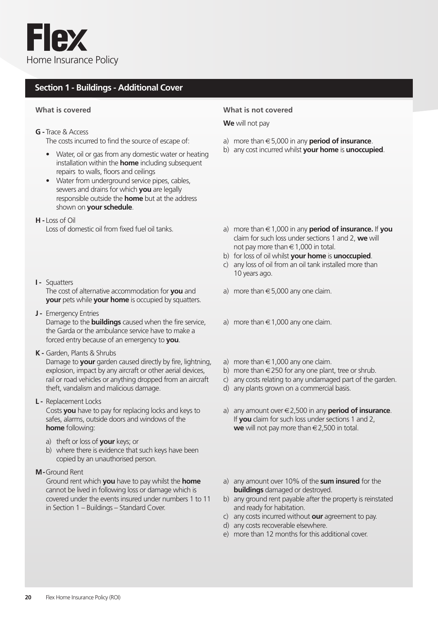

## **Section 1 - Buildings - Additional Cover**

## **What is covered**

**G -** Trace & Access

The costs incurred to find the source of escape of:

- Water, oil or gas from any domestic water or heating installation within the **home** including subsequent repairs to walls, floors and ceilings
- Water from underground service pipes, cables, sewers and drains for which **you** are legally responsible outside the **home** but at the address shown on **your schedule**.

## **H -** Loss of Oil

Loss of domestic oil from fixed fuel oil tanks.

**I -** Squatters

The cost of alternative accommodation for **you** and **your** pets while **your home** is occupied by squatters.

**J -** Emergency Entries

Damage to the **buildings** caused when the fire service, the Garda or the ambulance service have to make a forced entry because of an emergency to **you**.

## **K -** Garden, Plants & Shrubs

Damage to **your** garden caused directly by fire, lightning, explosion, impact by any aircraft or other aerial devices, rail or road vehicles or anything dropped from an aircraft theft, vandalism and malicious damage.

**L -** Replacement Locks

Costs **you** have to pay for replacing locks and keys to safes, alarms, outside doors and windows of the **home** following:

- a) theft or loss of **your** keys; or
- b) where there is evidence that such keys have been copied by an unauthorised person.
- **M-**Ground Rent

Ground rent which **you** have to pay whilst the **home** cannot be lived in following loss or damage which is covered under the events insured under numbers 1 to 11 in Section 1 – Buildings – Standard Cover.

## **What is not covered**

- a) more than €5,000 in any **period of insurance**.
- b) any cost incurred whilst **your home** is **unoccupied**.

- a) more than €1,000 in any **period of insurance.** If **you** claim for such loss under sections 1 and 2, **we** will not pay more than  $\in$  1,000 in total.
- b) for loss of oil whilst **your home** is **unoccupied**.
- c) any loss of oil from an oil tank installed more than 10 years ago.
- a) more than  $\in$  5,000 any one claim.
- a) more than  $\in$  1,000 any one claim.
- a) more than  $\in$  1,000 any one claim.
- b) more than  $\in$  250 for any one plant, tree or shrub.
- c) any costs relating to any undamaged part of the garden.
- d) any plants grown on a commercial basis.
- a) any amount over €2,500 in any **period of insurance**. If **you** claim for such loss under sections 1 and 2, **we** will not pay more than €2,500 in total.
- a) any amount over 10% of the **sum insured** for the **buildings** damaged or destroyed.
- b) any ground rent payable after the property is reinstated and ready for habitation.
- c) any costs incurred without **our** agreement to pay.
- d) any costs recoverable elsewhere.
- e) more than 12 months for this additional cover.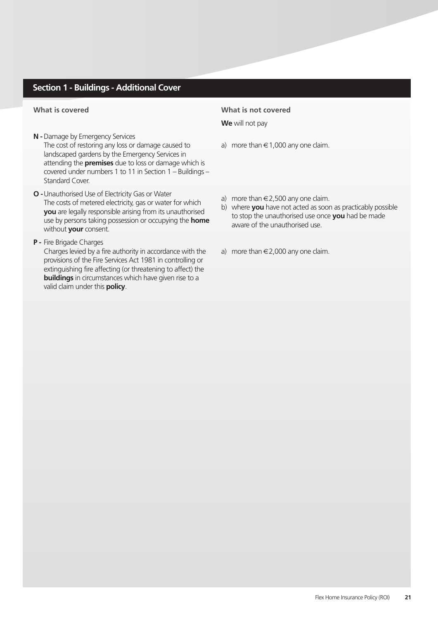## **Section 1 - Buildings - Additional Cover**

## **What is covered**

- **N -**Damage by Emergency Services The cost of restoring any loss or damage caused to landscaped gardens by the Emergency Services in attending the **premises** due to loss or damage which is covered under numbers 1 to 11 in Section 1 – Buildings – Standard Cover.
- **O -**Unauthorised Use of Electricity Gas or Water The costs of metered electricity, gas or water for which **you** are legally responsible arising from its unauthorised use by persons taking possession or occupying the **home** without **your** consent.
- **P -** Fire Brigade Charges

Charges levied by a fire authority in accordance with the provisions of the Fire Services Act 1981 in controlling or extinguishing fire affecting (or threatening to affect) the **buildings** in circumstances which have given rise to a valid claim under this **policy**.

#### **What is not covered**

- a) more than  $\in$  1,000 any one claim.
- a) more than  $\in$  2,500 any one claim.
- b) where **you** have not acted as soon as practicably possible to stop the unauthorised use once **you** had be made aware of the unauthorised use.
- a) more than  $\in$  2,000 any one claim.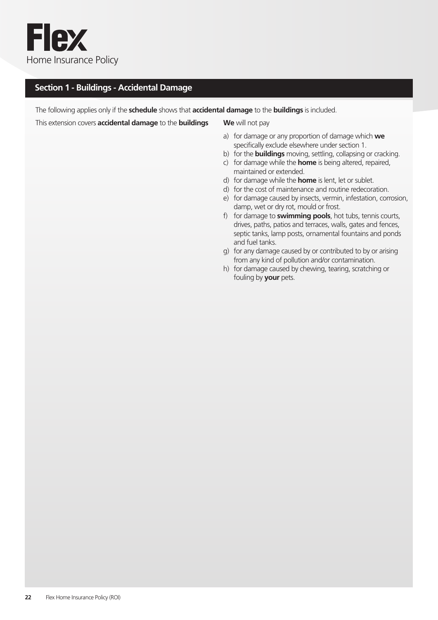

## **Section 1 - Buildings - Accidental Damage**

The following applies only if the **schedule** shows that **accidental damage** to the **buildings** is included.

This extension covers **accidental damage** to the **buildings We** will not pay

- a) for damage or any proportion of damage which **we** specifically exclude elsewhere under section 1.
- b) for the **buildings** moving, settling, collapsing or cracking.
- c) for damage while the **home** is being altered, repaired, maintained or extended.
- d) for damage while the **home** is lent, let or sublet.
- d) for the cost of maintenance and routine redecoration.
- e) for damage caused by insects, vermin, infestation, corrosion, damp, wet or dry rot, mould or frost.
- f) for damage to **swimming pools**, hot tubs, tennis courts, drives, paths, patios and terraces, walls, gates and fences, septic tanks, lamp posts, ornamental fountains and ponds and fuel tanks.
- g) for any damage caused by or contributed to by or arising from any kind of pollution and/or contamination.
- h) for damage caused by chewing, tearing, scratching or fouling by **your** pets.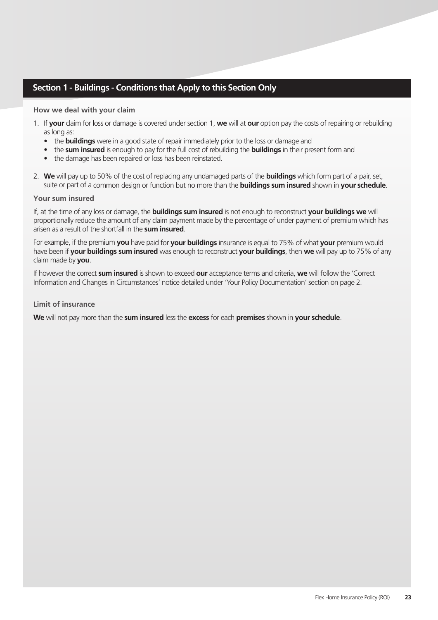## **Section 1 - Buildings - Conditions that Apply to this Section Only**

**How we deal with your claim**

- 1. If **your** claim for loss or damage is covered under section 1, **we** will at **our** option pay the costs of repairing or rebuilding as long as:
	- the **buildings** were in <sup>a</sup> good state of repair immediately prior to the loss or damage and
	- the **sum insured** is enough to pay for the full cost of rebuilding the **buildings** in their present form and
	- the damage has been repaired or loss has been reinstated.
- 2. **We** will pay up to 50% of the cost of replacing any undamaged parts of the **buildings** which form part of <sup>a</sup> pair, set, suite or part of <sup>a</sup> common design or function but no more than the **buildings sum insured** shown in **your schedule**.

#### **Your sum insured**

If, at the time of any loss or damage, the **buildings sum insured** is not enough to reconstruct **your buildings we** will proportionally reduce the amount of any claim payment made by the percentage of under payment of premium which has arisen as <sup>a</sup> result of the shortfall in the **sum insured**.

For example, if the premium **you** have paid for **your buildings** insurance is equal to 75% of what **your** premium would have been if **your buildings sum insured** was enough to reconstruct **your buildings**, then **we** will pay up to 75% of any claim made by **you**.

If however the correct **sum insured** is shown to exceed **our** acceptance terms and criteria, **we** will follow the 'Correct Information and Changes in Circumstances' notice detailed under 'Your Policy Documentation' section on page 2.

## **Limit of insurance**

**We** will not pay more than the **sum insured** less the **excess** for each **premises** shown in **your schedule**.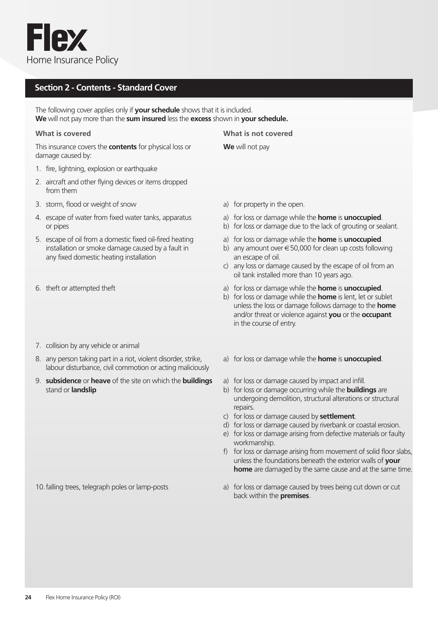

## **Section 2 - Contents - Standard Cover**

The following cover applies only if **your schedule** shows that it is included. **We** will not pay more than the **sum insured** less the **excess** shown in **your schedule.**

## **What is covered**

This insurance covers the **contents** for physical loss or damage caused by:

- 1. fire, lightning, explosion or earthquake
- 2. aircraft and other flying devices or items dropped from them
- 3. storm, flood or weight of snow
- 4. escape of water from fixed water tanks, apparatus or pipes
- 5. escape of oil from a domestic fixed oil-fired heating installation or smoke damage caused by a fault in any fixed domestic heating installation
- 6. theft or attempted theft
- 7. collision by any vehicle or animal
- 8. any person taking part in a riot, violent disorder, strike, labour disturbance, civil commotion or acting maliciously
- 9. **subsidence** or **heave** of the site on which the **buildings** stand or **landslip**

**What is not covered**

**We** will not pay

- a) for property in the open.
- a) for loss or damage while the **home** is **unoccupied**.
- b) for loss or damage due to the lack of grouting or sealant.
- a) for loss or damage while the **home** is **unoccupied**.
- b) any amount over  $\in$  50,000 for clean up costs following an escape of oil.
- c) any loss or damage caused by the escape of oil from an oil tank installed more than 10 years ago.
- a) for loss or damage while the **home** is **unoccupied**.
- b) for loss or damage while the **home** is lent, let or sublet unless the loss or damage follows damage to the **home** and/or threat or violence against **you** or the **occupant** in the course of entry.
- a) for loss or damage while the **home** is **unoccupied**.
- a) for loss or damage caused by impact and infill.
- b) for loss or damage occurring while the **buildings** are undergoing demolition, structural alterations or structural repairs.
- c) for loss or damage caused by **settlement**.
- d) for loss or damage caused by riverbank or coastal erosion.
- e) for loss or damage arising from defective materials or faulty workmanship.
- f) for loss or damage arising from movement of solid floor slabs, unless the foundations beneath the exterior walls of **your home** are damaged by the same cause and at the same time.
- a) for loss or damage caused by trees being cut down or cut back within the **premises**.

10.falling trees, telegraph poles or lamp-posts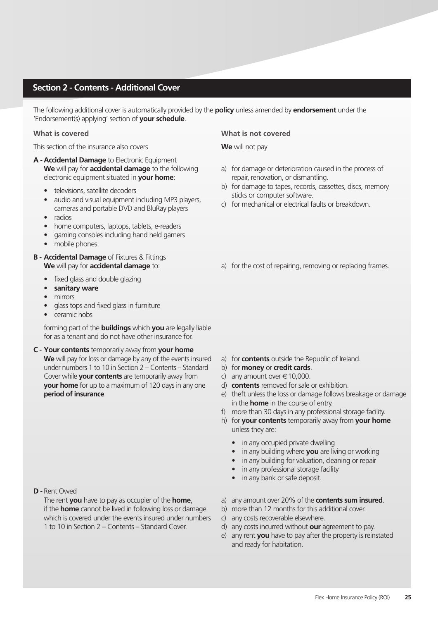The following additional cover is automatically provided by the **policy** unless amended by **endorsement** under the 'Endorsement(s) applying' section of **your schedule**.

## **What is covered**

This section of the insurance also covers

- **A - Accidental Damage** to Electronic Equipment **We** will pay for **accidental damage** to the following electronic equipment situated in **your home**:
	- televisions, satellite decoders
	- audio and visual equipment including MP3 players, cameras and portable DVD and BluRay players
	- radios
	- home computers, laptops, tablets, e-readers
	- gaming consoles including hand held gamers
	- mobile phones.
- **B - Accidental Damage** of Fixtures & Fittings **We** will pay for **accidental damage** to:
	- fixed glass and double glazing
	- **sanitary ware**
	- mirrors
	- glass tops and fixed glass in furniture
	- ceramic hobs

forming part of the **buildings** which **you** are legally liable for as a tenant and do not have other insurance for.

**C - Your contents** temporarily away from **your home We** will pay for loss or damage by any of the events insured under numbers 1 to 10 in Section 2 – Contents – Standard Cover while **your contents** are temporarily away from **your home** for up to a maximum of 120 days in any one **period of insurance**.

## **D -** Rent Owed

The rent **you** have to pay as occupier of the **home**, if the **home** cannot be lived in following loss or damage which is covered under the events insured under numbers 1 to 10 in Section 2 – Contents – Standard Cover.

**What is not covered**

- a) for damage or deterioration caused in the process of repair, renovation, or dismantling.
- b) for damage to tapes, records, cassettes, discs, memory sticks or computer software.
- c) for mechanical or electrical faults or breakdown.
- a) for the cost of repairing, removing or replacing frames.

- a) for **contents** outside the Republic of Ireland.
- b) for **money** or **credit cards**.
- c) any amount over  $\in$  10,000.
- d) **contents** removed for sale or exhibition.
- e) theft unless the loss or damage follows breakage or damage in the **home** in the course of entry.
- f) more than 30 days in any professional storage facility.
- h) for **your contents** temporarily away from **your home** unless they are:
	- in any occupied private dwelling
	- in any building where **you** are living or working
	- in any building for valuation, cleaning or repair
	- in any professional storage facility
	- in any bank or safe deposit.
- a) any amount over 20% of the **contents sum insured**.
- b) more than 12 months for this additional cover.
- c) any costs recoverable elsewhere.
- d) any costs incurred without **our** agreement to pay.
- e) any rent **you** have to pay after the property is reinstated and ready for habitation.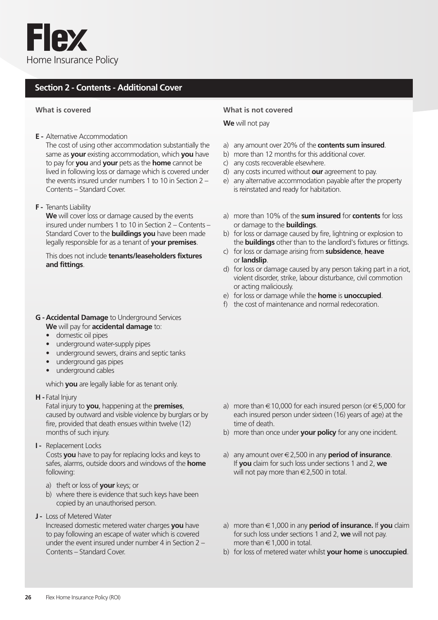

## **What is covered**

**E -** Alternative Accommodation

The cost of using other accommodation substantially the same as **your** existing accommodation, which **you** have to pay for **you** and **your** pets as the **home** cannot be lived in following loss or damage which is covered under the events insured under numbers 1 to 10 in Section 2 – Contents – Standard Cover.

**F -** Tenants Liability

**We** will cover loss or damage caused by the events insured under numbers 1 to 10 in Section 2 – Contents – Standard Cover to the **buildings you** have been made legally responsible for as a tenant of **your premises**.

This does not include **tenants/leaseholders fixtures and fittings**.

- **G - Accidental Damage** to Underground Services **We** will pay for **accidental damage** to:
	- domestic oil pipes
	- underground water-supply pipes
	- underground sewers, drains and septic tanks
	- underground gas pipes
	- underground cables

which **you** are legally liable for as tenant only.

**H -** Fatal Injury

Fatal injury to **you**, happening at the **premises**, caused by outward and visible violence by burglars or by fire, provided that death ensues within twelve (12) months of such injury.

**I -** Replacement Locks

Costs **you** have to pay for replacing locks and keys to safes, alarms, outside doors and windows of the **home** following:

- a) theft or loss of **your** keys; or
- b) where there is evidence that such keys have been copied by an unauthorised person.
- **J -** Loss of Metered Water

Increased domestic metered water charges **you** have to pay following an escape of water which is covered under the event insured under number 4 in Section 2 – Contents – Standard Cover.

## **What is not covered**

- a) any amount over 20% of the **contents sum insured**.
- b) more than 12 months for this additional cover.
- c) any costs recoverable elsewhere.
- d) any costs incurred without **our** agreement to pay.
- e) any alternative accommodation payable after the property is reinstated and ready for habitation.
- a) more than 10% of the **sum insured** for **contents** for loss or damage to the **buildings**.
- b) for loss or damage caused by fire, lightning or explosion to the **buildings** other than to the landlord's fixtures or fittings.
- c) for loss or damage arising from **subsidence**, **heave** or **landslip**.
- d) for loss or damage caused by any person taking part in a riot, violent disorder, strike, labour disturbance, civil commotion or acting maliciously.
- e) for loss or damage while the **home** is **unoccupied**.
- f) the cost of maintenance and normal redecoration.

- a) more than  $\in$  10,000 for each insured person (or  $\in$  5,000 for each insured person under sixteen (16) years of age) at the time of death.
- b) more than once under **your policy** for any one incident.
- a) any amount over €2,500 in any **period of insurance**. If **you** claim for such loss under sections 1 and 2, **we** will not pay more than  $\in$  2,500 in total.
- a) more than €1,000 in any **period of insurance.** If **you** claim for such loss under sections 1 and 2, **we** will not pay. more than  $\in$  1,000 in total.
- b) for loss of metered water whilst **your home** is **unoccupied**.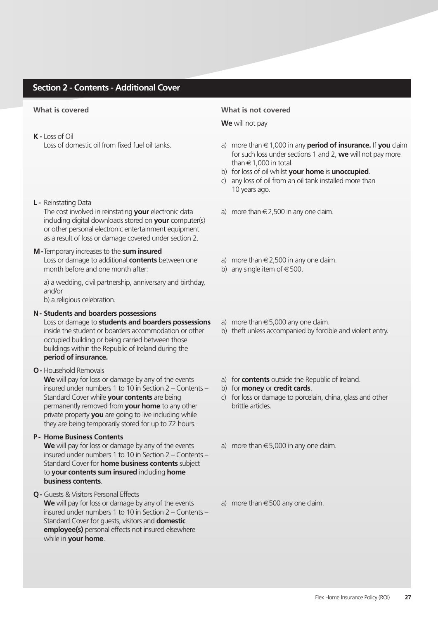## **What is covered**

**K -** Loss of Oil

Loss of domestic oil from fixed fuel oil tanks.

**L -** Reinstating Data

The cost involved in reinstating **your** electronic data including digital downloads stored on **your** computer(s) or other personal electronic entertainment equipment as a result of loss or damage covered under section 2.

#### **M -**Temporary increases to the **sum insured** Loss or damage to additional **contents** between one month before and one month after:

a) a wedding, civil partnership, anniversary and birthday, and/or

b) a religious celebration.

**N - Students and boarders possessions**

Loss or damage to **students and boarders possessions** inside the student or boarders accommodation or other occupied building or being carried between those buildings within the Republic of Ireland during the **period of insurance.**

**O -** Household Removals

**We** will pay for loss or damage by any of the events insured under numbers 1 to 10 in Section 2 – Contents – Standard Cover while **your contents** are being permanently removed from **your home** to any other private property **you** are going to live including while they are being temporarily stored for up to 72 hours.

**P - Home Business Contents**

**We** will pay for loss or damage by any of the events insured under numbers 1 to 10 in Section 2 – Contents – Standard Cover for **home business contents** subject to **your contents sum insured** including **home business contents**.

**Q -** Guests & Visitors Personal Effects

**We** will pay for loss or damage by any of the events insured under numbers 1 to 10 in Section 2 – Contents – Standard Cover for guests, visitors and **domestic employee(s)** personal effects not insured elsewhere while in **your home**.

## **What is not covered**

- a) more than €1,000 in any **period of insurance.** If **you** claim for such loss under sections 1 and 2, **we** will not pay more than  $\in$  1,000 in total.
- b) for loss of oil whilst **your home** is **unoccupied**.
- c) any loss of oil from an oil tank installed more than 10 years ago.
- a) more than  $\in$  2,500 in any one claim.
- a) more than  $\in$  2,500 in any one claim.
- b) any single item of  $\in$  500.
- a) more than  $\epsilon$  5,000 any one claim.
- b) theft unless accompanied by forcible and violent entry.
- a) for **contents** outside the Republic of Ireland.
- b) for **money** or **credit cards**.
- c) for loss or damage to porcelain, china, glass and other brittle articles.
- a) more than  $\in$  5,000 in any one claim.
- a) more than  $\in$  500 any one claim.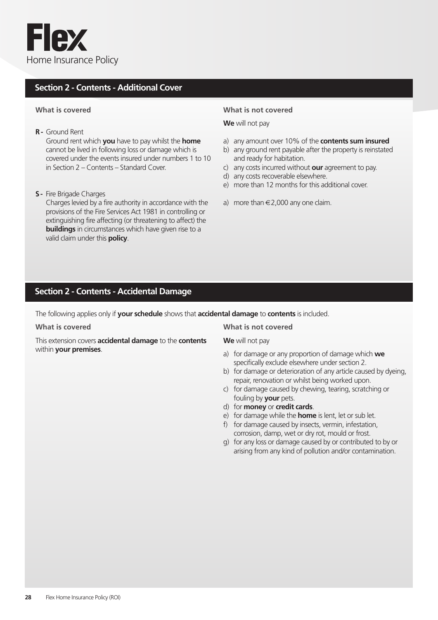

**What is covered**

**R -** Ground Rent

Ground rent which **you** have to pay whilst the **home** cannot be lived in following loss or damage which is covered under the events insured under numbers 1 to 10 in Section 2 – Contents – Standard Cover.

**S -** Fire Brigade Charges

Charges levied by a fire authority in accordance with the provisions of the Fire Services Act 1981 in controlling or extinguishing fire affecting (or threatening to affect) the **buildings** in circumstances which have given rise to a valid claim under this **policy**.

# **What is not covered**

**We** will not pay

- a) any amount over 10% of the **contents sum insured**
- b) any ground rent payable after the property is reinstated and ready for habitation.
- c) any costs incurred without **our** agreement to pay.
- d) any costs recoverable elsewhere.
- e) more than 12 months for this additional cover.
- a) more than  $\in$  2,000 any one claim.

## **Section 2 - Contents - Accidental Damage**

The following applies only if **your schedule** shows that **accidental damage** to **contents** is included.

## **What is covered**

This extension covers **accidental damage** to the **contents** within **your premises**.

**What is not covered**

- a) for damage or any proportion of damage which **we** specifically exclude elsewhere under section 2.
- b) for damage or deterioration of any article caused by dyeing, repair, renovation or whilst being worked upon.
- c) for damage caused by chewing, tearing, scratching or fouling by **your** pets.
- d) for **money** or **credit cards**.
- e) for damage while the **home** is lent, let or sub let.
- f) for damage caused by insects, vermin, infestation, corrosion, damp, wet or dry rot, mould or frost.
- g) for any loss or damage caused by or contributed to by or arising from any kind of pollution and/or contamination.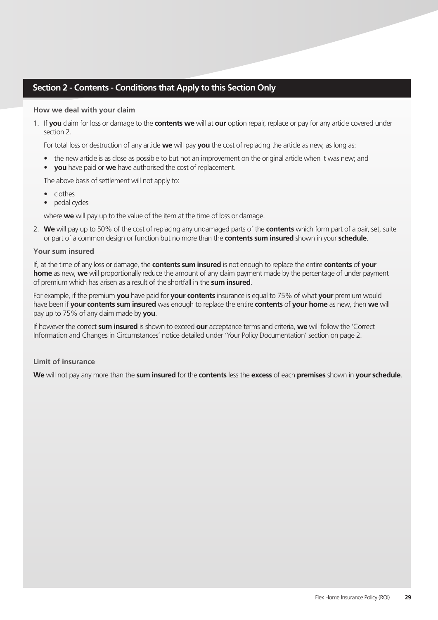## **Section 2 - Contents - Conditions that Apply to this Section Only**

## **How we deal with your claim**

1. If **you** claim for loss or damage to the **contents we** will at **our** option repair, replace or pay for any article covered under section 2.

For total loss or destruction of any article **we** will pay **you** the cost of replacing the article as new, as long as:

- the new article is as close as possible to but not an improvement on the original article when it was new; and
- **you** have paid or **we** have authorised the cost of replacement.

The above basis of settlement will not apply to:

- clothes
- pedal cycles

where **we** will pay up to the value of the item at the time of loss or damage.

2. **We** will pay up to 50% of the cost of replacing any undamaged parts of the **contents** which form part of a pair, set, suite or part of a common design or function but no more than the **contents sum insured** shown in your **schedule**.

#### **Your sum insured**

If, at the time of any loss or damage, the **contents sum insured** is not enough to replace the entire **contents** of **your home** as new, **we** will proportionally reduce the amount of any claim payment made by the percentage of under payment of premium which has arisen as a result of the shortfall in the **sum insured**.

For example, if the premium **you** have paid for **your contents** insurance is equal to 75% of what **your** premium would have been if **your contents sum insured** was enough to replace the entire **contents** of **your home** as new, then **we** will pay up to 75% of any claim made by **you**.

If however the correct **sum insured** is shown to exceed **our** acceptance terms and criteria, **we** will follow the 'Correct Information and Changes in Circumstances' notice detailed under 'Your Policy Documentation' section on page 2.

## **Limit of insurance**

**We** will not pay any more than the **sum insured** for the **contents** less the **excess** of each **premises** shown in **your schedule**.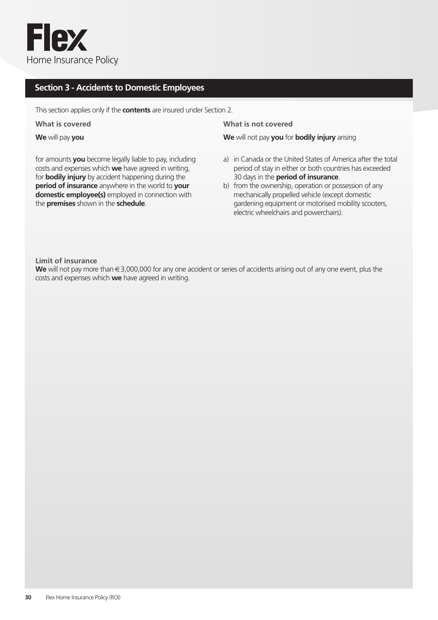

## **Section 3 - Accidents to Domestic Employees**

This section applies only if the **contents** are insured under Section 2.

**What is covered**

**We** will pay **you**

for amounts **you** become legally liable to pay, including costs and expenses which **we** have agreed in writing, for **bodily injury** by accident happening during the **period of insurance** anywhere in the world to **your domestic employee(s)** employed in connection with the **premises** shown in the **schedule**.

**What is not covered**

**We** will not pay **you** for **bodily injury** arising

- a) in Canada or the United States of America after the total period of stay in either or both countries has exceeded 30 days in the **period of insurance**.
- b) from the ownership, operation or possession of any mechanically propelled vehicle (except domestic gardening equipment or motorised mobility scooters, electric wheelchairs and powerchairs).

## **Limit of insurance**

**We** will not pay more than €3,000,000 for any one accident or series of accidents arising out of any one event, plus the costs and expenses which **we** have agreed in writing.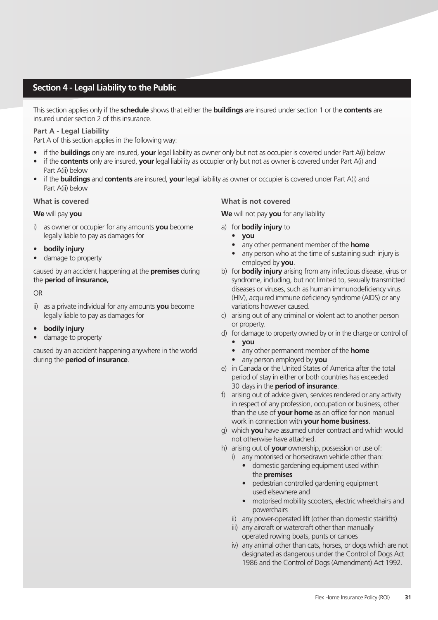## **Section 4 - Legal Liability to the Public**

This section applies only if the **schedule** shows that either the **buildings** are insured under section 1 or the **contents** are insured under section 2 of this insurance.

## **Part A - Legal Liability**

Part A of this section applies in the following way:

- if the **buildings** only are insured, **your** legal liability as owner only but not as occupier is covered under Part A(i) below
- if the **contents** only are insured, **your** legal liability as occupier only but not as owner is covered under Part A(i) and Part A(ii) below
- if the **buildings** and **contents** are insured, **your** legal liability as owner or occupier is covered under Part A(i) and Part A(ii) below

## **What is covered**

## **We** will pay **you**

- i) as owner or occupier for any amounts **you** become legally liable to pay as damages for
- **bodily injury**
- damage to property

caused by an accident happening at the **premises** during the **period of insurance,**

OR

- ii) as a private individual for any amounts **you** become legally liable to pay as damages for
- **bodily injury**
- damage to property

caused by an accident happening anywhere in the world during the **period of insurance**.

## **What is not covered**

**We** will not pay **you** for any liability

- a) for **bodily injury** to
	- **you**
	- any other permanent member of the **home**
	- any person who at the time of sustaining such injury is employed by **you**.
- b) for **bodily injury** arising from any infectious disease, virus or syndrome, including, but not limited to, sexually transmitted diseases or viruses, such as human immunodeficiency virus (HIV), acquired immune deficiency syndrome (AIDS) or any variations however caused.
- c) arising out of any criminal or violent act to another person or property.
- d) for damage to property owned by or in the charge or control of • **you**
	- any other permanent member of the **home**
	- any person employed by **you**
- e) in Canada or the United States of America after the total period of stay in either or both countries has exceeded 30 days in the **period of insurance**.
- f) arising out of advice given, services rendered or any activity in respect of any profession, occupation or business, other than the use of **your home** as an office for non manual work in connection with **your home business**.
- g) which **you** have assumed under contract and which would not otherwise have attached.
- h) arising out of **your** ownership, possession or use of:
	- i) any motorised or horsedrawn vehicle other than:
		- domestic gardening equipment used within the **premises**
		- pedestrian controlled gardening equipment used elsewhere and
		- motorised mobility scooters, electric wheelchairs and powerchairs
	- ii) any power-operated lift (other than domestic stairlifts)
	- iii) any aircraft or watercraft other than manually operated rowing boats, punts or canoes
	- iv) any animal other than cats, horses, or dogs which are not designated as dangerous under the Control of Dogs Act 1986 and the Control of Dogs (Amendment) Act 1992.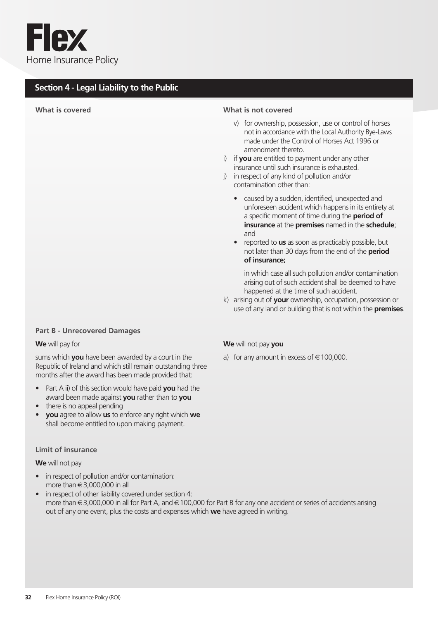

**What is covered**

## **Section 4 - Legal Liability to the Public**

# **What is not covered**

- v) for ownership, possession, use or control of horses not in accordance with the Local Authority Bye-Laws made under the Control of Horses Act 1996 or amendment thereto.
- i) if **you** are entitled to payment under any other insurance until such insurance is exhausted.
- j) in respect of any kind of pollution and/or contamination other than:
	- caused by a sudden, identified, unexpected and unforeseen accident which happens in its entirety at a specific moment of time during the **period of insurance** at the **premises** named in the **schedule**; and
	- reported to **us** as soon as practicably possible, but not later than 30 days from the end of the **period of insurance;**

in which case all such pollution and/or contamination arising out of such accident shall be deemed to have happened at the time of such accident.

k) arising out of **your** ownership, occupation, possession or use of any land or building that is not within the **premises**.

## **Part B - Unrecovered Damages**

## **We** will pay for

sums which **you** have been awarded by a court in the Republic of Ireland and which still remain outstanding three months after the award has been made provided that:

- Part A ii) of this section would have paid **you** had the award been made against **you** rather than to **you**
- there is no appeal pending
- **you** agree to allow **us** to enforce any right which **we** shall become entitled to upon making payment.

## **Limit of insurance**

**We** will not pay

- in respect of pollution and/or contamination: more than €3,000,000 in all
- in respect of other liability covered under section 4: more than €3,000,000 in all for Part A, and €100,000 for Part B for any one accident or series of accidents arising out of any one event, plus the costs and expenses which **we** have agreed in writing.

#### **We** will not pay **you**

a) for any amount in excess of  $\in$  100,000.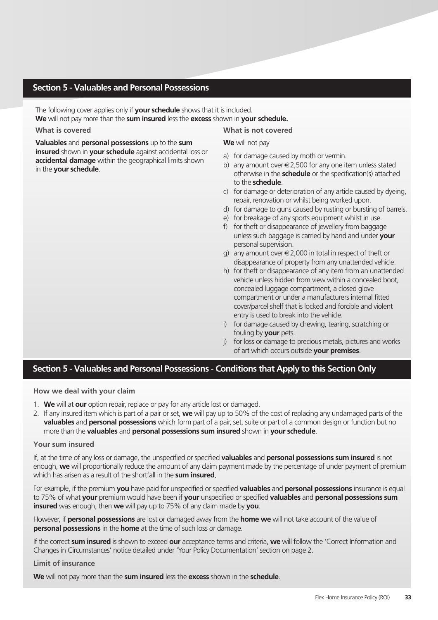## **Section 5 - Valuables and Personal Possessions**

The following cover applies only if **your schedule** shows that it is included. **We** will not pay more than the **sum insured** less the **excess** shown in **your schedule.**

#### **What is covered**

**Valuables** and **personal possessions** up to the **sum insured** shown in **your schedule** against accidental loss or **accidental damage** within the geographical limits shown in the **your schedule**.

## **What is not covered**

#### **We** will not pay

- a) for damage caused by moth or vermin.
- b) any amount over  $\in$  2,500 for any one item unless stated otherwise in the **schedule** or the specification(s) attached to the **schedule**.
- c) for damage or deterioration of any article caused by dyeing, repair, renovation or whilst being worked upon.
- d) for damage to guns caused by rusting or bursting of barrels.
- e) for breakage of any sports equipment whilst in use.
- f) for theft or disappearance of jewellery from baggage unless such baggage is carried by hand and under **your** personal supervision.
- g) any amount over  $\in$  2,000 in total in respect of theft or disappearance of property from any unattended vehicle.
- h) for theft or disappearance of any item from an unattended vehicle unless hidden from view within a concealed boot, concealed luggage compartment, a closed glove compartment or under a manufacturers internal fitted cover/parcel shelf that is locked and forcible and violent entry is used to break into the vehicle.
- i) for damage caused by chewing, tearing, scratching or fouling by **your** pets.
- j) for loss or damage to precious metals, pictures and works of art which occurs outside **your premises**.

## **Section 5 - Valuables and Personal Possessions - Conditions that Apply to this Section Only**

## **How we deal with your claim**

- 1. **We** will at **our** option repair, replace or pay for any article lost or damaged.
- 2. If any insured item which is part of <sup>a</sup> pair or set, **we** will pay up to 50% of the cost of replacing any undamaged parts of the **valuables** and **personal possessions** which form part of <sup>a</sup> pair, set, suite or part of <sup>a</sup> common design or function but no more than the **valuables** and **personal possessions sum insured** shown in **your schedule**.

#### **Your sum insured**

If, at the time of any loss or damage, the unspecified or specified **valuables** and **personal possessions sum insured** is not enough, **we** will proportionally reduce the amount of any claim payment made by the percentage of under payment of premium which has arisen as <sup>a</sup> result of the shortfall in the **sum insured**.

For example, if the premium **you** have paid for unspecified or specified **valuables** and **personal possessions** insurance is equal to 75% of what **your** premium would have been if **your** unspecified or specified **valuables** and **personal possessions sum insured** was enough, then **we** will pay up to 75% of any claim made by **you**.

However, if **personal possessions** are lost or damaged away from the **home we** will not take account of the value of **personal possessions** in the **home** at the time of such loss or damage.

If the correct **sum insured** is shown to exceed **our** acceptance terms and criteria, **we** will follow the 'Correct Information and Changes in Circumstances' notice detailed under 'Your Policy Documentation' section on page 2.

#### **Limit of insurance**

**We** will not pay more than the **sum insured** less the **excess** shown in the **schedule**.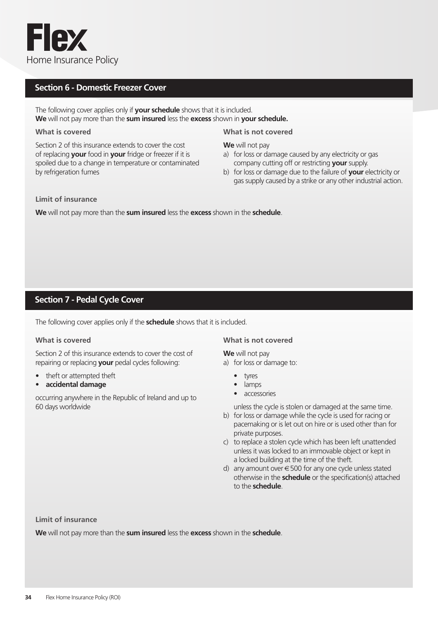

## **Section 6 - Domestic Freezer Cover**

The following cover applies only if **your schedule** shows that it is included. **We** will not pay more than the **sum insured** less the **excess** shown in **your schedule.**

#### **What is covered**

Section 2 of this insurance extends to cover the cost of replacing **your** food in **your** fridge or freezer if it is spoiled due to a change in temperature or contaminated by refrigeration fumes

## **What is not covered**

**We** will not pay

- a) for loss or damage caused by any electricity or gas company cutting off or restricting **your** supply.
- b) for loss or damage due to the failure of **your** electricity or gas supply caused by a strike or any other industrial action.

## **Limit of insurance**

**We** will not pay more than the **sum insured** less the **excess** shown in the **schedule**.

## **Section 7 - Pedal Cycle Cover**

The following cover applies only if the **schedule** shows that it is included.

## **What is covered**

Section 2 of this insurance extends to cover the cost of repairing or replacing **your** pedal cycles following:

- theft or attempted theft
- **accidental damage**

occurring anywhere in the Republic of Ireland and up to 60 days worldwide

#### **What is not covered**

**We** will not pay a) for loss or damage to:

- tyres
- lamps
- accessories

unless the cycle is stolen or damaged at the same time.

- b) for loss or damage while the cycle is used for racing or pacemaking or is let out on hire or is used other than for private purposes.
- c) to replace a stolen cycle which has been left unattended unless it was locked to an immovable object or kept in a locked building at the time of the theft.
- d) any amount over  $\in$  500 for any one cycle unless stated otherwise in the **schedule** or the specification(s) attached to the **schedule**.

## **Limit of insurance**

**We** will not pay more than the **sum insured** less the **excess** shown in the **schedule**.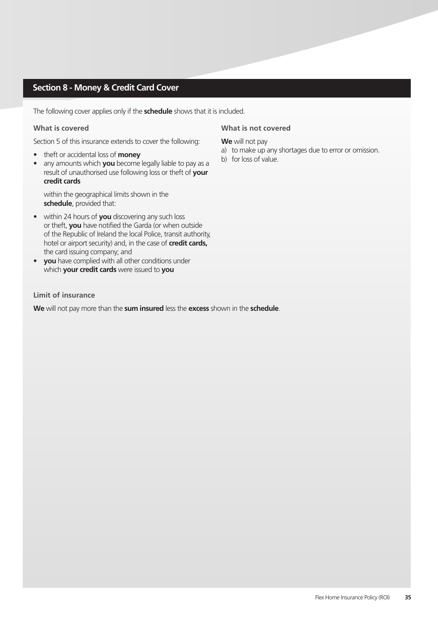## **Section 8 - Money & Credit Card Cover**

The following cover applies only if the **schedule** shows that it is included.

## **What is covered**

Section 5 of this insurance extends to cover the following:

- theft or accidental loss of **money**
- any amounts which **you** become legally liable to pay as a result of unauthorised use following loss or theft of **your credit cards**

within the geographical limits shown in the **schedule**, provided that:

- within 24 hours of **you** discovering any such loss or theft, **you** have notified the Garda (or when outside of the Republic of Ireland the local Police, transit authority, hotel or airport security) and, in the case of **credit cards,** the card issuing company; and
- **you** have complied with all other conditions under which **your credit cards** were issued to **you**

## **Limit of insurance**

**We** will not pay more than the **sum insured** less the **excess** shown in the **schedule**.

#### **What is not covered**

- a) to make up any shortages due to error or omission.
- b) for loss of value.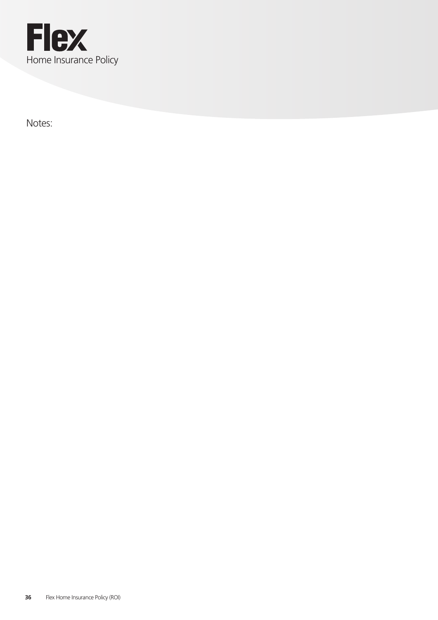

Notes: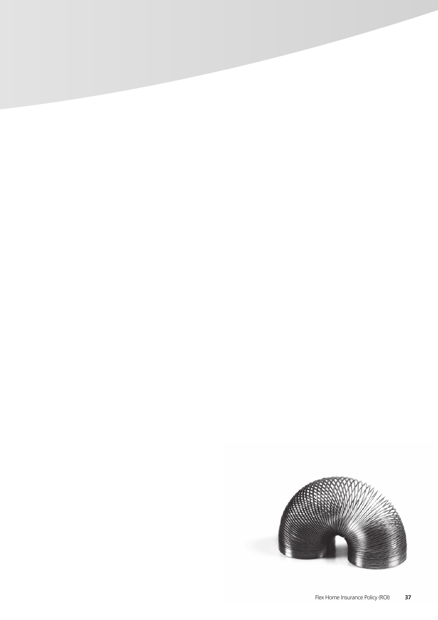